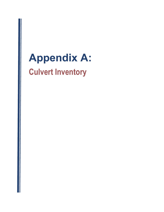## Appendix A: Culvert Inventory